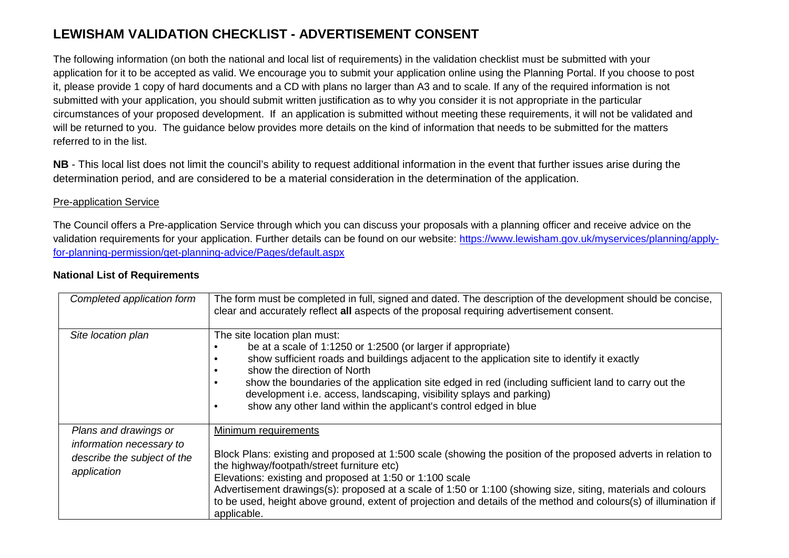## **LEWISHAM VALIDATION CHECKLIST - ADVERTISEMENT CONSENT**

The following information (on both the national and local list of requirements) in the validation checklist must be submitted with your application for it to be accepted as valid. We encourage you to submit your application online using the Planning Portal. If you choose to post it, please provide 1 copy of hard documents and a CD with plans no larger than A3 and to scale. If any of the required information is not submitted with your application, you should submit written justification as to why you consider it is not appropriate in the particular circumstances of your proposed development. If an application is submitted without meeting these requirements, it will not be validated and will be returned to you. The guidance below provides more details on the kind of information that needs to be submitted for the matters referred to in the list.

**NB** - This local list does not limit the council's ability to request additional information in the event that further issues arise during the determination period, and are considered to be a material consideration in the determination of the application.

## Pre-application Service

The Council offers a Pre-application Service through which you can discuss your proposals with a planning officer and receive advice on the validation requirements for your application. Further details can be found on our website: https://www.lewisham.gov.uk/myservices/planning/applyfor-planning-permission/get-planning-advice/Pages/default.aspx

## **National List of Requirements**

| Completed application form                                                                      | The form must be completed in full, signed and dated. The description of the development should be concise,<br>clear and accurately reflect all aspects of the proposal requiring advertisement consent.                                                                                                                                                                                                                                                                                             |
|-------------------------------------------------------------------------------------------------|------------------------------------------------------------------------------------------------------------------------------------------------------------------------------------------------------------------------------------------------------------------------------------------------------------------------------------------------------------------------------------------------------------------------------------------------------------------------------------------------------|
| Site location plan                                                                              | The site location plan must:<br>be at a scale of 1:1250 or 1:2500 (or larger if appropriate)<br>show sufficient roads and buildings adjacent to the application site to identify it exactly<br>show the direction of North<br>show the boundaries of the application site edged in red (including sufficient land to carry out the<br>development i.e. access, landscaping, visibility splays and parking)<br>show any other land within the applicant's control edged in blue                       |
| Plans and drawings or<br>information necessary to<br>describe the subject of the<br>application | Minimum requirements<br>Block Plans: existing and proposed at 1:500 scale (showing the position of the proposed adverts in relation to<br>the highway/footpath/street furniture etc)<br>Elevations: existing and proposed at 1:50 or 1:100 scale<br>Advertisement drawings(s): proposed at a scale of 1:50 or 1:100 (showing size, siting, materials and colours<br>to be used, height above ground, extent of projection and details of the method and colours(s) of illumination if<br>applicable. |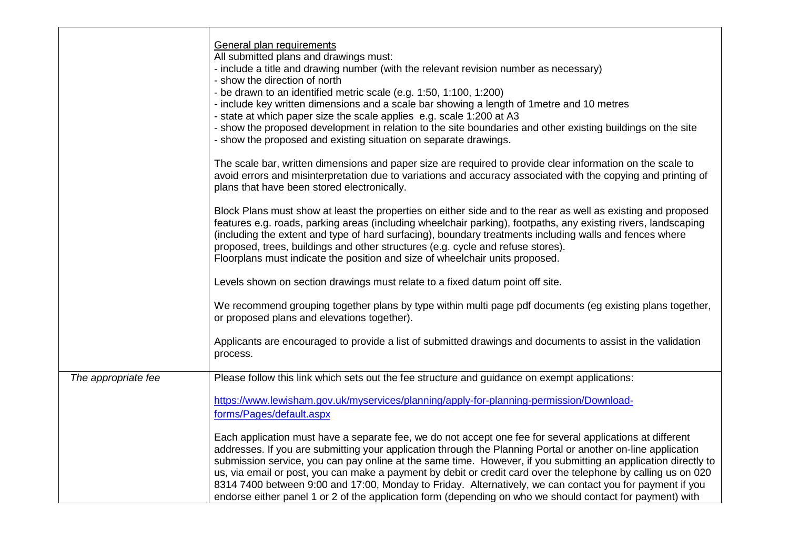|                     | General plan requirements<br>All submitted plans and drawings must:<br>- include a title and drawing number (with the relevant revision number as necessary)<br>- show the direction of north<br>- be drawn to an identified metric scale (e.g. 1:50, 1:100, 1:200)<br>- include key written dimensions and a scale bar showing a length of 1 metre and 10 metres<br>- state at which paper size the scale applies e.g. scale 1:200 at A3<br>- show the proposed development in relation to the site boundaries and other existing buildings on the site<br>- show the proposed and existing situation on separate drawings.<br>The scale bar, written dimensions and paper size are required to provide clear information on the scale to<br>avoid errors and misinterpretation due to variations and accuracy associated with the copying and printing of<br>plans that have been stored electronically.<br>Block Plans must show at least the properties on either side and to the rear as well as existing and proposed<br>features e.g. roads, parking areas (including wheelchair parking), footpaths, any existing rivers, landscaping |
|---------------------|-----------------------------------------------------------------------------------------------------------------------------------------------------------------------------------------------------------------------------------------------------------------------------------------------------------------------------------------------------------------------------------------------------------------------------------------------------------------------------------------------------------------------------------------------------------------------------------------------------------------------------------------------------------------------------------------------------------------------------------------------------------------------------------------------------------------------------------------------------------------------------------------------------------------------------------------------------------------------------------------------------------------------------------------------------------------------------------------------------------------------------------------------|
|                     | (including the extent and type of hard surfacing), boundary treatments including walls and fences where<br>proposed, trees, buildings and other structures (e.g. cycle and refuse stores).<br>Floorplans must indicate the position and size of wheelchair units proposed.                                                                                                                                                                                                                                                                                                                                                                                                                                                                                                                                                                                                                                                                                                                                                                                                                                                                    |
|                     | Levels shown on section drawings must relate to a fixed datum point off site.                                                                                                                                                                                                                                                                                                                                                                                                                                                                                                                                                                                                                                                                                                                                                                                                                                                                                                                                                                                                                                                                 |
|                     | We recommend grouping together plans by type within multi page pdf documents (eg existing plans together,<br>or proposed plans and elevations together).                                                                                                                                                                                                                                                                                                                                                                                                                                                                                                                                                                                                                                                                                                                                                                                                                                                                                                                                                                                      |
|                     | Applicants are encouraged to provide a list of submitted drawings and documents to assist in the validation<br>process.                                                                                                                                                                                                                                                                                                                                                                                                                                                                                                                                                                                                                                                                                                                                                                                                                                                                                                                                                                                                                       |
| The appropriate fee | Please follow this link which sets out the fee structure and guidance on exempt applications:                                                                                                                                                                                                                                                                                                                                                                                                                                                                                                                                                                                                                                                                                                                                                                                                                                                                                                                                                                                                                                                 |
|                     | https://www.lewisham.gov.uk/myservices/planning/apply-for-planning-permission/Download-<br>forms/Pages/default.aspx                                                                                                                                                                                                                                                                                                                                                                                                                                                                                                                                                                                                                                                                                                                                                                                                                                                                                                                                                                                                                           |
|                     | Each application must have a separate fee, we do not accept one fee for several applications at different<br>addresses. If you are submitting your application through the Planning Portal or another on-line application<br>submission service, you can pay online at the same time. However, if you submitting an application directly to<br>us, via email or post, you can make a payment by debit or credit card over the telephone by calling us on 020<br>8314 7400 between 9:00 and 17:00, Monday to Friday. Alternatively, we can contact you for payment if you<br>endorse either panel 1 or 2 of the application form (depending on who we should contact for payment) with                                                                                                                                                                                                                                                                                                                                                                                                                                                         |